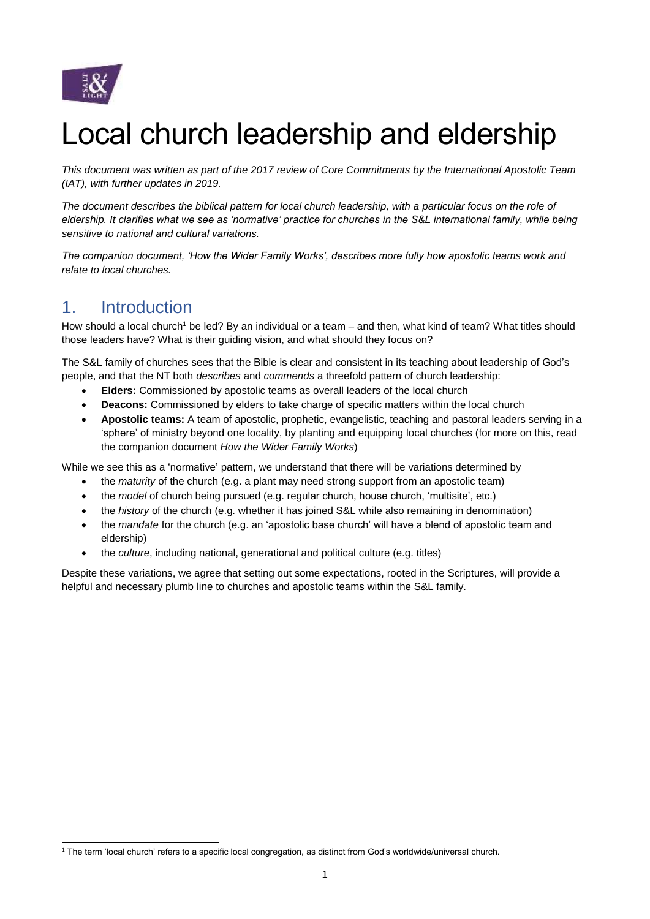

# Local church leadership and eldership

*This document was written as part of the 2017 review of Core Commitments by the International Apostolic Team (IAT), with further updates in 2019.* 

*The document describes the biblical pattern for local church leadership, with a particular focus on the role of eldership. It clarifies what we see as 'normative' practice for churches in the S&L international family, while being sensitive to national and cultural variations.* 

*The companion document, 'How the Wider Family Works', describes more fully how apostolic teams work and relate to local churches.*

## 1. Introduction

How should a local church<sup>1</sup> be led? By an individual or a team – and then, what kind of team? What titles should those leaders have? What is their guiding vision, and what should they focus on?

The S&L family of churches sees that the Bible is clear and consistent in its teaching about leadership of God's people, and that the NT both *describes* and *commends* a threefold pattern of church leadership:

- **Elders:** Commissioned by apostolic teams as overall leaders of the local church
- **Deacons:** Commissioned by elders to take charge of specific matters within the local church
- **Apostolic teams:** A team of apostolic, prophetic, evangelistic, teaching and pastoral leaders serving in a 'sphere' of ministry beyond one locality, by planting and equipping local churches (for more on this, read the companion document *How the Wider Family Works*)

While we see this as a 'normative' pattern, we understand that there will be variations determined by

- the *maturity* of the church (e.g. a plant may need strong support from an apostolic team)
- the *model* of church being pursued (e.g. regular church, house church, 'multisite', etc.)
- the *history* of the church (e.g. whether it has joined S&L while also remaining in denomination)
- the *mandate* for the church (e.g. an 'apostolic base church' will have a blend of apostolic team and eldership)
- the *culture*, including national, generational and political culture (e.g. titles)

Despite these variations, we agree that setting out some expectations, rooted in the Scriptures, will provide a helpful and necessary plumb line to churches and apostolic teams within the S&L family.

<sup>-</sup><sup>1</sup> The term 'local church' refers to a specific local congregation, as distinct from God's worldwide/universal church.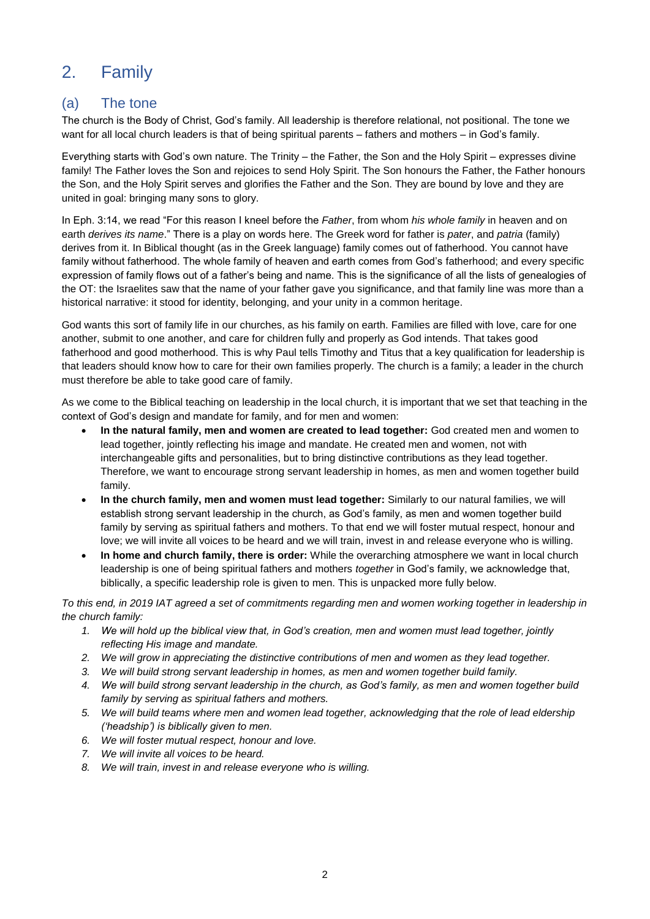# 2. Family

#### (a) The tone

The church is the Body of Christ, God's family. All leadership is therefore relational, not positional. The tone we want for all local church leaders is that of being spiritual parents – fathers and mothers – in God's family.

Everything starts with God's own nature. The Trinity – the Father, the Son and the Holy Spirit – expresses divine family! The Father loves the Son and rejoices to send Holy Spirit. The Son honours the Father, the Father honours the Son, and the Holy Spirit serves and glorifies the Father and the Son. They are bound by love and they are united in goal: bringing many sons to glory.

In Eph. 3:14, we read "For this reason I kneel before the *Father*, from whom *his whole family* in heaven and on earth *derives its name*." There is a play on words here. The Greek word for father is *pater*, and *patria* (family) derives from it. In Biblical thought (as in the Greek language) family comes out of fatherhood. You cannot have family without fatherhood. The whole family of heaven and earth comes from God's fatherhood; and every specific expression of family flows out of a father's being and name. This is the significance of all the lists of genealogies of the OT: the Israelites saw that the name of your father gave you significance, and that family line was more than a historical narrative: it stood for identity, belonging, and your unity in a common heritage.

God wants this sort of family life in our churches, as his family on earth. Families are filled with love, care for one another, submit to one another, and care for children fully and properly as God intends. That takes good fatherhood and good motherhood. This is why Paul tells Timothy and Titus that a key qualification for leadership is that leaders should know how to care for their own families properly. The church is a family; a leader in the church must therefore be able to take good care of family.

As we come to the Biblical teaching on leadership in the local church, it is important that we set that teaching in the context of God's design and mandate for family, and for men and women:

- **In the natural family, men and women are created to lead together:** God created men and women to lead together, jointly reflecting his image and mandate. He created men and women, not with interchangeable gifts and personalities, but to bring distinctive contributions as they lead together. Therefore, we want to encourage strong servant leadership in homes, as men and women together build family.
- **In the church family, men and women must lead together:** Similarly to our natural families, we will establish strong servant leadership in the church, as God's family, as men and women together build family by serving as spiritual fathers and mothers. To that end we will foster mutual respect, honour and love; we will invite all voices to be heard and we will train, invest in and release everyone who is willing.
- **In home and church family, there is order:** While the overarching atmosphere we want in local church leadership is one of being spiritual fathers and mothers *together* in God's family, we acknowledge that, biblically, a specific leadership role is given to men. This is unpacked more fully below.

*To this end, in 2019 IAT agreed a set of commitments regarding men and women working together in leadership in the church family:*

- *1. We will hold up the biblical view that, in God's creation, men and women must lead together, jointly reflecting His image and mandate.*
- *2. We will grow in appreciating the distinctive contributions of men and women as they lead together.*
- *3. We will build strong servant leadership in homes, as men and women together build family.*
- *4. We will build strong servant leadership in the church, as God's family, as men and women together build family by serving as spiritual fathers and mothers.*
- *5. We will build teams where men and women lead together, acknowledging that the role of lead eldership ('headship') is biblically given to men.*
- *6. We will foster mutual respect, honour and love.*
- *7. We will invite all voices to be heard.*
- *8. We will train, invest in and release everyone who is willing.*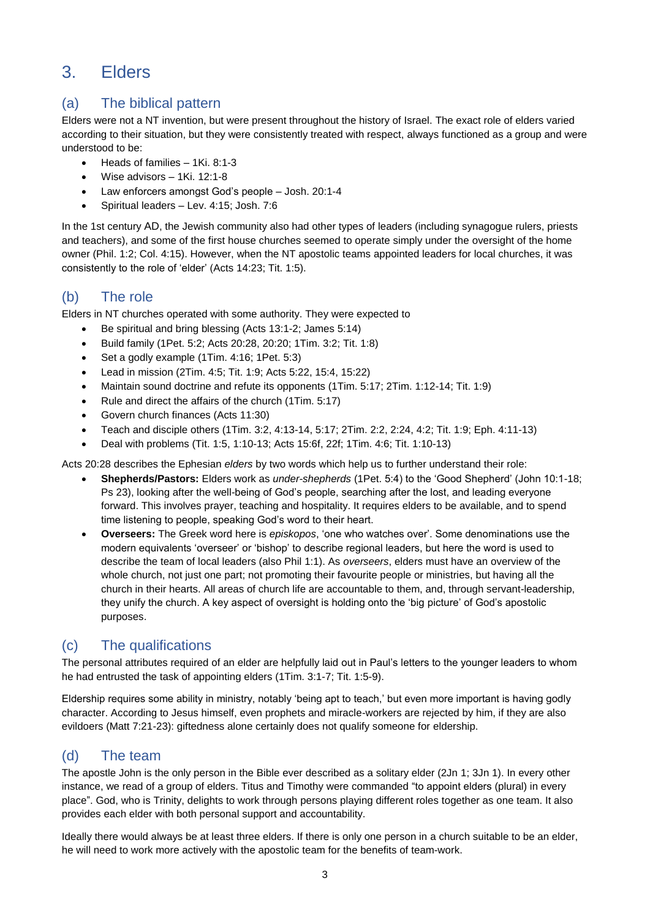# 3. Elders

#### (a) The biblical pattern

Elders were not a NT invention, but were present throughout the history of Israel. The exact role of elders varied according to their situation, but they were consistently treated with respect, always functioned as a group and were understood to be:

- Heads of families 1Ki. 8:1-3
- Wise advisors 1Ki. 12:1-8
- Law enforcers amongst God's people Josh. 20:1-4
- Spiritual leaders Lev. 4:15; Josh. 7:6

In the 1st century AD, the Jewish community also had other types of leaders (including synagogue rulers, priests and teachers), and some of the first house churches seemed to operate simply under the oversight of the home owner (Phil. 1:2; Col. 4:15). However, when the NT apostolic teams appointed leaders for local churches, it was consistently to the role of 'elder' (Acts 14:23; Tit. 1:5).

#### (b) The role

Elders in NT churches operated with some authority. They were expected to

- Be spiritual and bring blessing (Acts 13:1-2; James 5:14)
- Build family (1Pet. 5:2; Acts 20:28, 20:20; 1Tim. 3:2; Tit. 1:8)
- Set a godly example  $(1$ Tim.  $4:16$ ; 1Pet.  $5:3$ )
- Lead in mission (2Tim. 4:5; Tit. 1:9; Acts 5:22, 15:4, 15:22)
- Maintain sound doctrine and refute its opponents (1Tim. 5:17; 2Tim. 1:12-14; Tit. 1:9)
- Rule and direct the affairs of the church (1Tim. 5:17)
- Govern church finances (Acts 11:30)
- Teach and disciple others (1Tim. 3:2, 4:13-14, 5:17; 2Tim. 2:2, 2:24, 4:2; Tit. 1:9; Eph. 4:11-13)
- Deal with problems (Tit. 1:5, 1:10-13; Acts 15:6f, 22f; 1Tim. 4:6; Tit. 1:10-13)

Acts 20:28 describes the Ephesian *elders* by two words which help us to further understand their role:

- **Shepherds/Pastors:** Elders work as *under-shepherds* (1Pet. 5:4) to the 'Good Shepherd' (John 10:1-18; Ps 23), looking after the well-being of God's people, searching after the lost, and leading everyone forward. This involves prayer, teaching and hospitality. It requires elders to be available, and to spend time listening to people, speaking God's word to their heart.
- **Overseers:** The Greek word here is *episkopos*, 'one who watches over'. Some denominations use the modern equivalents 'overseer' or 'bishop' to describe regional leaders, but here the word is used to describe the team of local leaders (also Phil 1:1). As *overseers*, elders must have an overview of the whole church, not just one part; not promoting their favourite people or ministries, but having all the church in their hearts. All areas of church life are accountable to them, and, through servant-leadership, they unify the church. A key aspect of oversight is holding onto the 'big picture' of God's apostolic purposes.

#### (c) The qualifications

The personal attributes required of an elder are helpfully laid out in Paul's letters to the younger leaders to whom he had entrusted the task of appointing elders (1Tim. 3:1-7; Tit. 1:5-9).

Eldership requires some ability in ministry, notably 'being apt to teach,' but even more important is having godly character. According to Jesus himself, even prophets and miracle-workers are rejected by him, if they are also evildoers (Matt 7:21-23): giftedness alone certainly does not qualify someone for eldership.

#### (d) The team

The apostle John is the only person in the Bible ever described as a solitary elder (2Jn 1; 3Jn 1). In every other instance, we read of a group of elders. Titus and Timothy were commanded "to appoint elders (plural) in every place". God, who is Trinity, delights to work through persons playing different roles together as one team. It also provides each elder with both personal support and accountability.

Ideally there would always be at least three elders. If there is only one person in a church suitable to be an elder, he will need to work more actively with the apostolic team for the benefits of team-work.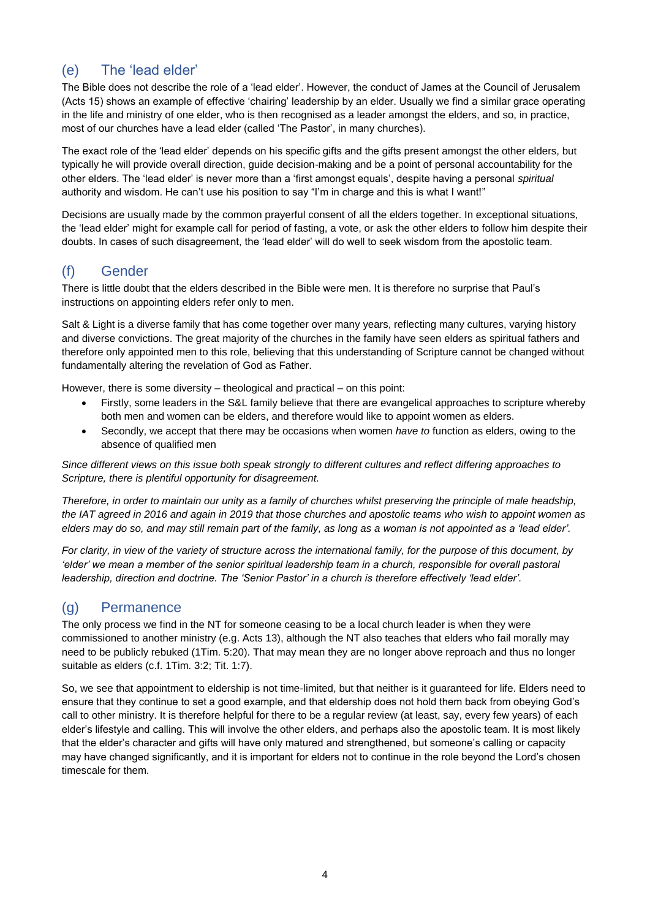### (e) The 'lead elder'

The Bible does not describe the role of a 'lead elder'. However, the conduct of James at the Council of Jerusalem (Acts 15) shows an example of effective 'chairing' leadership by an elder. Usually we find a similar grace operating in the life and ministry of one elder, who is then recognised as a leader amongst the elders, and so, in practice, most of our churches have a lead elder (called 'The Pastor', in many churches).

The exact role of the 'lead elder' depends on his specific gifts and the gifts present amongst the other elders, but typically he will provide overall direction, guide decision-making and be a point of personal accountability for the other elders. The 'lead elder' is never more than a 'first amongst equals', despite having a personal *spiritual* authority and wisdom. He can't use his position to say "I'm in charge and this is what I want!"

Decisions are usually made by the common prayerful consent of all the elders together. In exceptional situations, the 'lead elder' might for example call for period of fasting, a vote, or ask the other elders to follow him despite their doubts. In cases of such disagreement, the 'lead elder' will do well to seek wisdom from the apostolic team.

#### (f) Gender

There is little doubt that the elders described in the Bible were men. It is therefore no surprise that Paul's instructions on appointing elders refer only to men.

Salt & Light is a diverse family that has come together over many years, reflecting many cultures, varying history and diverse convictions. The great majority of the churches in the family have seen elders as spiritual fathers and therefore only appointed men to this role, believing that this understanding of Scripture cannot be changed without fundamentally altering the revelation of God as Father.

However, there is some diversity – theological and practical – on this point:

- Firstly, some leaders in the S&L family believe that there are evangelical approaches to scripture whereby both men and women can be elders, and therefore would like to appoint women as elders.
- Secondly, we accept that there may be occasions when women *have to* function as elders, owing to the absence of qualified men

*Since different views on this issue both speak strongly to different cultures and reflect differing approaches to Scripture, there is plentiful opportunity for disagreement.* 

*Therefore, in order to maintain our unity as a family of churches whilst preserving the principle of male headship, the IAT agreed in 2016 and again in 2019 that those churches and apostolic teams who wish to appoint women as elders may do so, and may still remain part of the family, as long as a woman is not appointed as a 'lead elder'.*

*For clarity, in view of the variety of structure across the international family, for the purpose of this document, by*  'elder' we mean a member of the senior spiritual leadership team in a church, responsible for overall pastoral *leadership, direction and doctrine. The 'Senior Pastor' in a church is therefore effectively 'lead elder'.*

#### (g) Permanence

The only process we find in the NT for someone ceasing to be a local church leader is when they were commissioned to another ministry (e.g. Acts 13), although the NT also teaches that elders who fail morally may need to be publicly rebuked (1Tim. 5:20). That may mean they are no longer above reproach and thus no longer suitable as elders (c.f. 1Tim. 3:2; Tit. 1:7).

So, we see that appointment to eldership is not time-limited, but that neither is it guaranteed for life. Elders need to ensure that they continue to set a good example, and that eldership does not hold them back from obeying God's call to other ministry. It is therefore helpful for there to be a regular review (at least, say, every few years) of each elder's lifestyle and calling. This will involve the other elders, and perhaps also the apostolic team. It is most likely that the elder's character and gifts will have only matured and strengthened, but someone's calling or capacity may have changed significantly, and it is important for elders not to continue in the role beyond the Lord's chosen timescale for them.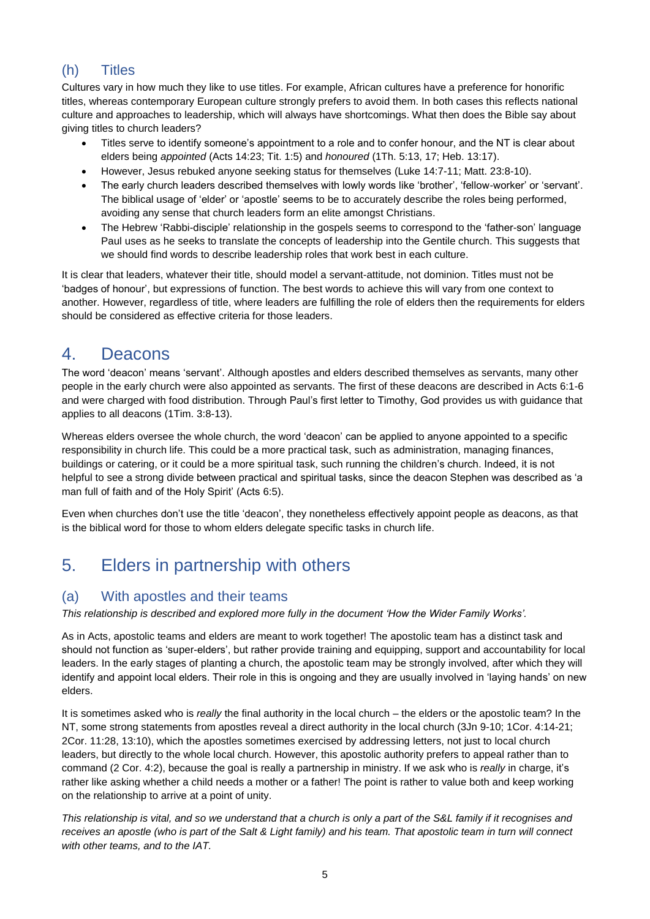## (h) Titles

Cultures vary in how much they like to use titles. For example, African cultures have a preference for honorific titles, whereas contemporary European culture strongly prefers to avoid them. In both cases this reflects national culture and approaches to leadership, which will always have shortcomings. What then does the Bible say about giving titles to church leaders?

- Titles serve to identify someone's appointment to a role and to confer honour, and the NT is clear about elders being *appointed* (Acts 14:23; Tit. 1:5) and *honoured* (1Th. 5:13, 17; Heb. 13:17).
- However, Jesus rebuked anyone seeking status for themselves (Luke 14:7-11; Matt. 23:8-10).
- The early church leaders described themselves with lowly words like 'brother', 'fellow-worker' or 'servant'. The biblical usage of 'elder' or 'apostle' seems to be to accurately describe the roles being performed, avoiding any sense that church leaders form an elite amongst Christians.
- The Hebrew 'Rabbi-disciple' relationship in the gospels seems to correspond to the 'father-son' language Paul uses as he seeks to translate the concepts of leadership into the Gentile church. This suggests that we should find words to describe leadership roles that work best in each culture.

It is clear that leaders, whatever their title, should model a servant-attitude, not dominion. Titles must not be 'badges of honour', but expressions of function. The best words to achieve this will vary from one context to another. However, regardless of title, where leaders are fulfilling the role of elders then the requirements for elders should be considered as effective criteria for those leaders.

## 4. Deacons

The word 'deacon' means 'servant'. Although apostles and elders described themselves as servants, many other people in the early church were also appointed as servants. The first of these deacons are described in Acts 6:1-6 and were charged with food distribution. Through Paul's first letter to Timothy, God provides us with guidance that applies to all deacons (1Tim. 3:8-13).

Whereas elders oversee the whole church, the word 'deacon' can be applied to anyone appointed to a specific responsibility in church life. This could be a more practical task, such as administration, managing finances, buildings or catering, or it could be a more spiritual task, such running the children's church. Indeed, it is not helpful to see a strong divide between practical and spiritual tasks, since the deacon Stephen was described as 'a man full of faith and of the Holy Spirit' (Acts 6:5).

Even when churches don't use the title 'deacon', they nonetheless effectively appoint people as deacons, as that is the biblical word for those to whom elders delegate specific tasks in church life.

# 5. Elders in partnership with others

#### (a) With apostles and their teams

*This relationship is described and explored more fully in the document 'How the Wider Family Works'.*

As in Acts, apostolic teams and elders are meant to work together! The apostolic team has a distinct task and should not function as 'super-elders', but rather provide training and equipping, support and accountability for local leaders. In the early stages of planting a church, the apostolic team may be strongly involved, after which they will identify and appoint local elders. Their role in this is ongoing and they are usually involved in 'laying hands' on new elders.

It is sometimes asked who is *really* the final authority in the local church – the elders or the apostolic team? In the NT, some strong statements from apostles reveal a direct authority in the local church (3Jn 9-10; 1Cor. 4:14-21; 2Cor. 11:28, 13:10), which the apostles sometimes exercised by addressing letters, not just to local church leaders, but directly to the whole local church. However, this apostolic authority prefers to appeal rather than to command (2 Cor. 4:2), because the goal is really a partnership in ministry. If we ask who is *really* in charge, it's rather like asking whether a child needs a mother or a father! The point is rather to value both and keep working on the relationship to arrive at a point of unity.

*This relationship is vital, and so we understand that a church is only a part of the S&L family if it recognises and receives an apostle (who is part of the Salt & Light family) and his team. That apostolic team in turn will connect with other teams, and to the IAT.*